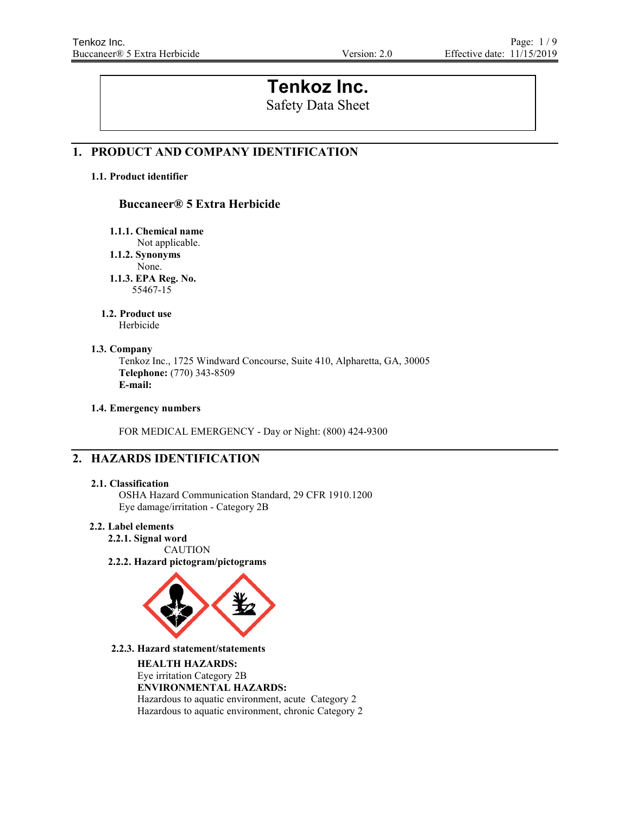# **Tenkoz Inc.**

Safety Data Sheet

# **1. PRODUCT AND COMPANY IDENTIFICATION**

# **1.1. Product identifier**

# **Buccaneer® 5 Extra Herbicide**

**1.1.1. Chemical name**

Not applicable.

**1.1.2. Synonyms**

None.

**1.1.3. EPA Reg. No.** 55467-15

# **1.2. Product use**

Herbicide

# **1.3. Company**

Tenkoz Inc., 1725 Windward Concourse, Suite 410, Alpharetta, GA, 30005 **Telephone:** (770) 343-8509 **E-mail:**

# **1.4. Emergency numbers**

FOR MEDICAL EMERGENCY - Day or Night: (800) 424-9300

# **2. HAZARDS IDENTIFICATION**

# **2.1. Classification**

OSHA Hazard Communication Standard, 29 CFR 1910.1200 Eye damage/irritation - Category 2B

# **2.2. Label elements**

**2.2.1. Signal word** CAUTION

**2.2.2. Hazard pictogram/pictograms**



**2.2.3. Hazard statement/statements**

**HEALTH HAZARDS:**  Eye irritation Category 2B **ENVIRONMENTAL HAZARDS:** Hazardous to aquatic environment, acute Category 2 Hazardous to aquatic environment, chronic Category 2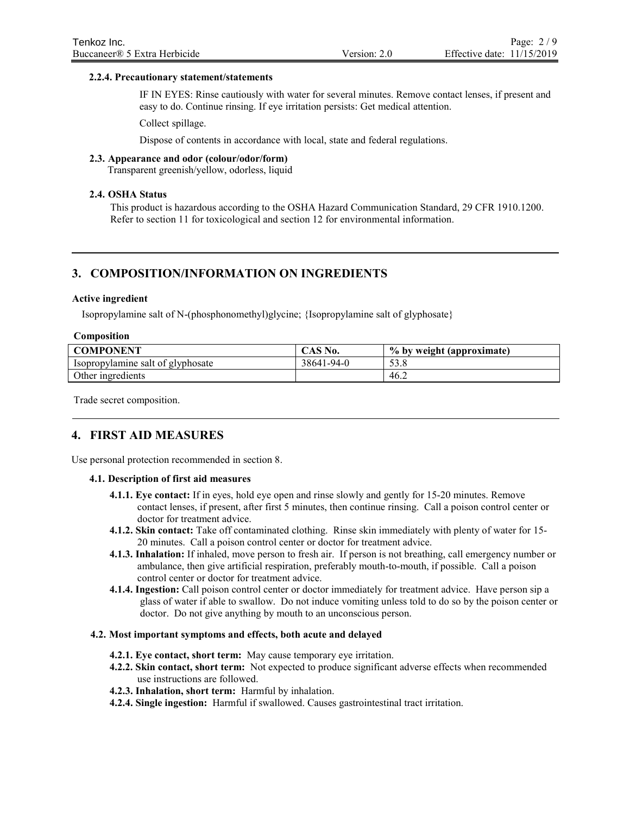#### **2.2.4. Precautionary statement/statements**

IF IN EYES: Rinse cautiously with water for several minutes. Remove contact lenses, if present and easy to do. Continue rinsing. If eye irritation persists: Get medical attention.

Collect spillage.

Dispose of contents in accordance with local, state and federal regulations.

#### **2.3. Appearance and odor (colour/odor/form)**

Transparent greenish/yellow, odorless, liquid

#### **2.4. OSHA Status**

This product is hazardous according to the OSHA Hazard Communication Standard, 29 CFR 1910.1200. Refer to section 11 for toxicological and section 12 for environmental information.

# **3. COMPOSITION/INFORMATION ON INGREDIENTS**

#### **Active ingredient**

Isopropylamine salt of N-(phosphonomethyl)glycine; {Isopropylamine salt of glyphosate}

#### **Composition**

| <b>COMPONENT</b>                  | CAS No.    | $\frac{6}{1}$ % by weight (approximate) |
|-----------------------------------|------------|-----------------------------------------|
| Isopropylamine salt of glyphosate | 38641-94-0 | 53.8                                    |
| Other ingredients                 |            | 46.∠                                    |

Trade secret composition.

# **4. FIRST AID MEASURES**

Use personal protection recommended in section 8.

#### **4.1. Description of first aid measures**

- **4.1.1. Eye contact:** If in eyes, hold eye open and rinse slowly and gently for 15-20 minutes. Remove contact lenses, if present, after first 5 minutes, then continue rinsing. Call a poison control center or doctor for treatment advice.
- **4.1.2. Skin contact:** Take off contaminated clothing. Rinse skin immediately with plenty of water for 15- 20 minutes. Call a poison control center or doctor for treatment advice.
- **4.1.3. Inhalation:** If inhaled, move person to fresh air. If person is not breathing, call emergency number or ambulance, then give artificial respiration, preferably mouth-to-mouth, if possible. Call a poison control center or doctor for treatment advice.
- **4.1.4. Ingestion:** Call poison control center or doctor immediately for treatment advice. Have person sip a glass of water if able to swallow. Do not induce vomiting unless told to do so by the poison center or doctor. Do not give anything by mouth to an unconscious person.

#### **4.2. Most important symptoms and effects, both acute and delayed**

- **4.2.1. Eye contact, short term:** May cause temporary eye irritation.
- **4.2.2. Skin contact, short term:** Not expected to produce significant adverse effects when recommended use instructions are followed.
- **4.2.3. Inhalation, short term:** Harmful by inhalation.
- **4.2.4. Single ingestion:** Harmful if swallowed. Causes gastrointestinal tract irritation.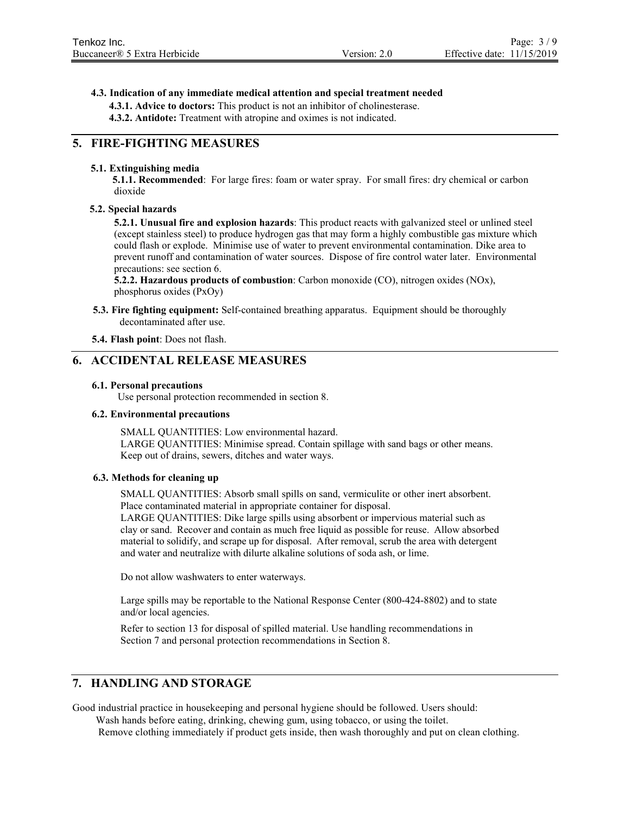#### **4.3. Indication of any immediate medical attention and special treatment needed**

**4.3.1. Advice to doctors:** This product is not an inhibitor of cholinesterase.

**4.3.2. Antidote:** Treatment with atropine and oximes is not indicated.

# **5. FIRE-FIGHTING MEASURES**

#### **5.1. Extinguishing media**

**5.1.1. Recommended**: For large fires: foam or water spray. For small fires: dry chemical or carbon dioxide

#### **5.2. Special hazards**

**5.2.1. Unusual fire and explosion hazards**: This product reacts with galvanized steel or unlined steel (except stainless steel) to produce hydrogen gas that may form a highly combustible gas mixture which could flash or explode. Minimise use of water to prevent environmental contamination. Dike area to prevent runoff and contamination of water sources. Dispose of fire control water later. Environmental precautions: see section 6.

**5.2.2. Hazardous products of combustion**: Carbon monoxide (CO), nitrogen oxides (NOx), phosphorus oxides (PxOy)

**5.3. Fire fighting equipment:** Self-contained breathing apparatus. Equipment should be thoroughly decontaminated after use.

**5.4. Flash point**: Does not flash.

### **6. ACCIDENTAL RELEASE MEASURES**

#### **6.1. Personal precautions**

Use personal protection recommended in section 8.

#### **6.2. Environmental precautions**

SMALL QUANTITIES: Low environmental hazard. LARGE QUANTITIES: Minimise spread. Contain spillage with sand bags or other means. Keep out of drains, sewers, ditches and water ways.

#### **6.3. Methods for cleaning up**

SMALL QUANTITIES: Absorb small spills on sand, vermiculite or other inert absorbent. Place contaminated material in appropriate container for disposal.

LARGE QUANTITIES: Dike large spills using absorbent or impervious material such as clay or sand. Recover and contain as much free liquid as possible for reuse. Allow absorbed material to solidify, and scrape up for disposal. After removal, scrub the area with detergent and water and neutralize with dilurte alkaline solutions of soda ash, or lime.

Do not allow washwaters to enter waterways.

Large spills may be reportable to the National Response Center (800-424-8802) and to state and/or local agencies.

Refer to section 13 for disposal of spilled material. Use handling recommendations in Section 7 and personal protection recommendations in Section 8.

# **7. HANDLING AND STORAGE**

Good industrial practice in housekeeping and personal hygiene should be followed. Users should:

Wash hands before eating, drinking, chewing gum, using tobacco, or using the toilet.

Remove clothing immediately if product gets inside, then wash thoroughly and put on clean clothing.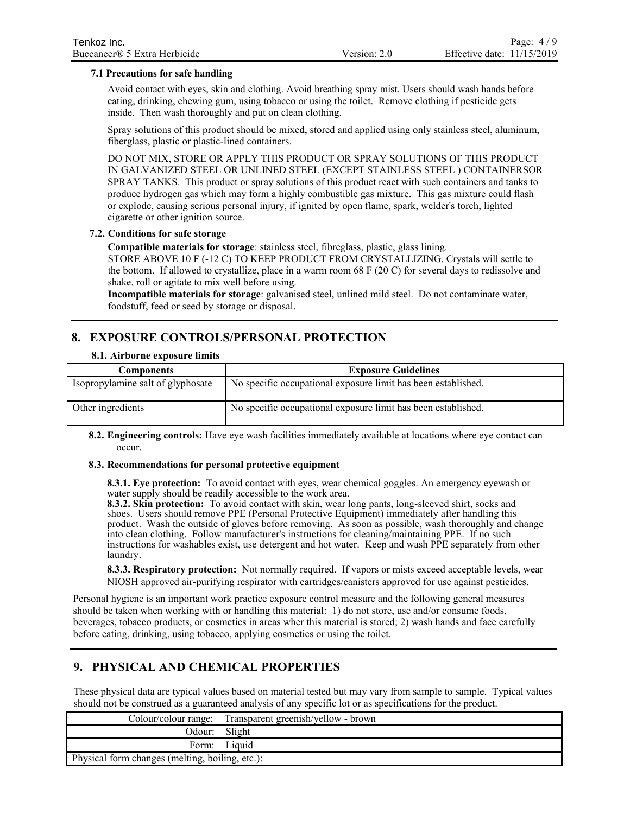# **7.1 Precautions for safe handling**

Avoid contact with eyes, skin and clothing. Avoid breathing spray mist. Users should wash hands before eating, drinking, chewing gum, using tobacco or using the toilet. Remove clothing if pesticide gets inside. Then wash thoroughly and put on clean clothing.

Spray solutions of this product should be mixed, stored and applied using only stainless steel, aluminum, fiberglass, plastic or plastic-lined containers.

DO NOT MIX, STORE OR APPLY THIS PRODUCT OR SPRAY SOLUTIONS OF THIS PRODUCT IN GALVANIZED STEEL OR UNLINED STEEL (EXCEPT STAINLESS STEEL ) CONTAINERSOR SPRAY TANKS. This product or spray solutions of this product react with such containers and tanks to produce hydrogen gas which may form a highly combustible gas mixture. This gas mixture could flash or explode, causing serious personal injury, if ignited by open flame, spark, welder's torch, lighted cigarette or other ignition source.

#### **7.2. Conditions for safe storage**

**Compatible materials for storage**: stainless steel, fibreglass, plastic, glass lining.

STORE ABOVE 10 F (-12 C) TO KEEP PRODUCT FROM CRYSTALLIZING. Crystals will settle to the bottom. If allowed to crystallize, place in a warm room 68 F (20 C) for several days to redissolve and shake, roll or agitate to mix well before using.

**Incompatible materials for storage**: galvanised steel, unlined mild steel. Do not contaminate water, foodstuff, feed or seed by storage or disposal.

# **8. EXPOSURE CONTROLS/PERSONAL PROTECTION**

#### **8.1. Airborne exposure limits**

| <b>Components</b>                 | <b>Exposure Guidelines</b>                                    |
|-----------------------------------|---------------------------------------------------------------|
| Isopropylamine salt of glyphosate | No specific occupational exposure limit has been established. |
| Other ingredients                 | No specific occupational exposure limit has been established. |

**8.2. Engineering controls:** Have eye wash facilities immediately available at locations where eye contact can occur.

### **8.3. Recommendations for personal protective equipment**

**8.3.1. Eye protection:** To avoid contact with eyes, wear chemical goggles. An emergency eyewash or water supply should be readily accessible to the work area.

**8.3.2. Skin protection:** To avoid contact with skin, wear long pants, long-sleeved shirt, socks and shoes. Users should remove PPE (Personal Protective Equipment) immediately after handling this product. Wash the outside of gloves before removing. As soon as possible, wash thoroughly and change into clean clothing. Follow manufacturer's instructions for cleaning/maintaining PPE. If no such instructions for washables exist, use detergent and hot water. Keep and wash PPE separately from other laundry.

**8.3.3. Respiratory protection:** Not normally required. If vapors or mists exceed acceptable levels, wear NIOSH approved air-purifying respirator with cartridges/canisters approved for use against pesticides.

Personal hygiene is an important work practice exposure control measure and the following general measures should be taken when working with or handling this material: 1) do not store, use and/or consume foods, beverages, tobacco products, or cosmetics in areas wher this material is stored; 2) wash hands and face carefully before eating, drinking, using tobacco, applying cosmetics or using the toilet.

# **9. PHYSICAL AND CHEMICAL PROPERTIES**

These physical data are typical values based on material tested but may vary from sample to sample. Typical values should not be construed as a guaranteed analysis of any specific lot or as specifications for the product.

|                                                 | Colour/colour range: Transparent greenish/yellow - brown |
|-------------------------------------------------|----------------------------------------------------------|
| Odour: Slight                                   |                                                          |
|                                                 | Form: Liquid                                             |
| Physical form changes (melting, boiling, etc.): |                                                          |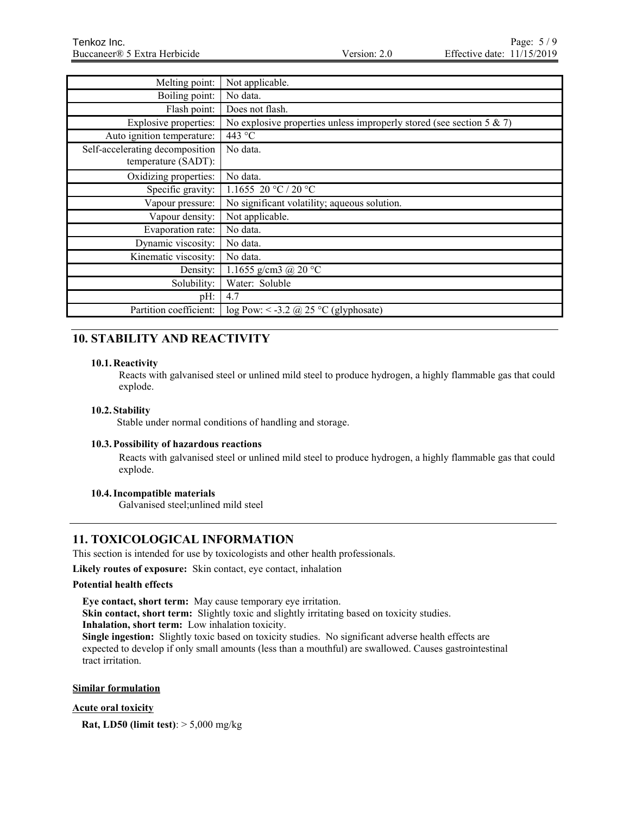| Melting point:                                         | Not applicable.                                                         |
|--------------------------------------------------------|-------------------------------------------------------------------------|
| Boiling point:                                         | No data.                                                                |
| Flash point:                                           | Does not flash.                                                         |
| Explosive properties:                                  | No explosive properties unless improperly stored (see section 5 $\&$ 7) |
| Auto ignition temperature:                             | 443 °C                                                                  |
| Self-accelerating decomposition<br>temperature (SADT): | No data.                                                                |
|                                                        |                                                                         |
| Oxidizing properties:                                  | No data.                                                                |
| Specific gravity:                                      | 1.1655 20 °C / 20 °C                                                    |
| Vapour pressure:                                       | No significant volatility; aqueous solution.                            |
| Vapour density:                                        | Not applicable.                                                         |
| Evaporation rate:                                      | No data.                                                                |
| Dynamic viscosity:                                     | No data.                                                                |
| Kinematic viscosity:                                   | No data.                                                                |
| Density:                                               | 1.1655 g/cm3 @ 20 °C                                                    |
| Solubility:                                            | Water: Soluble                                                          |
| pH:                                                    | 4.7                                                                     |
| Partition coefficient:                                 | $log Pow: < -3.2$ @ 25 °C (glyphosate)                                  |

# **10. STABILITY AND REACTIVITY**

# **10.1. Reactivity**

Reacts with galvanised steel or unlined mild steel to produce hydrogen, a highly flammable gas that could explode.

# **10.2. Stability**

Stable under normal conditions of handling and storage.

# **10.3.Possibility of hazardous reactions**

Reacts with galvanised steel or unlined mild steel to produce hydrogen, a highly flammable gas that could explode.

# **10.4.Incompatible materials**

Galvanised steel;unlined mild steel

# **11. TOXICOLOGICAL INFORMATION**

This section is intended for use by toxicologists and other health professionals.

**Likely routes of exposure:** Skin contact, eye contact, inhalation

# **Potential health effects**

**Eye contact, short term:** May cause temporary eye irritation.

**Skin contact, short term:** Slightly toxic and slightly irritating based on toxicity studies.

**Inhalation, short term:** Low inhalation toxicity.

**Single ingestion:** Slightly toxic based on toxicity studies. No significant adverse health effects are expected to develop if only small amounts (less than a mouthful) are swallowed. Causes gastrointestinal tract irritation.

# **Similar formulation**

# **Acute oral toxicity**

**Rat, LD50 (limit test)**: > 5,000 mg/kg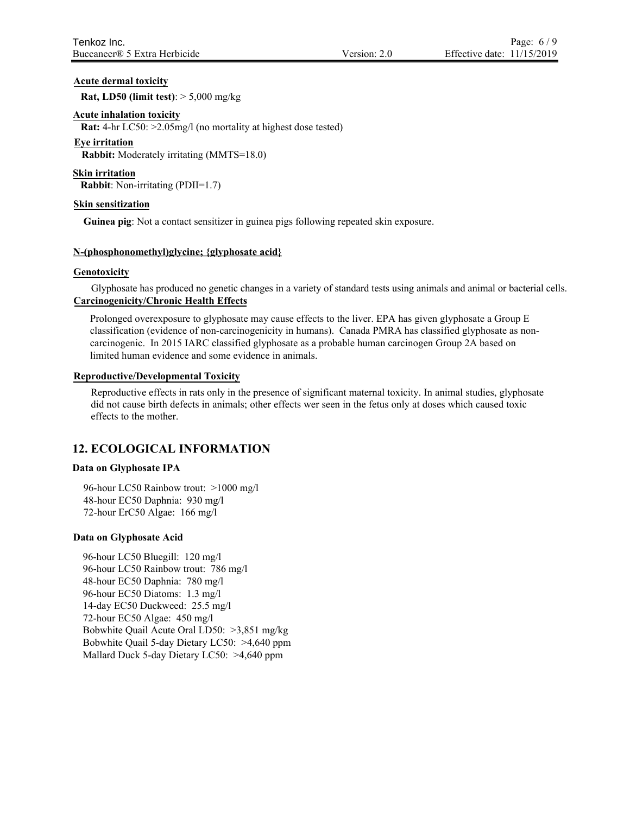# **Acute dermal toxicity**

**Rat, LD50 (limit test)**: > 5,000 mg/kg

### **Acute inhalation toxicity**

**Rat:** 4-hr LC50: >2.05mg/l (no mortality at highest dose tested)

#### **Eye irritation**

**Rabbit:** Moderately irritating (MMTS=18.0)

**Skin irritation**

 **Rabbit**: Non-irritating (PDII=1.7)

#### **Skin sensitization**

**Guinea pig**: Not a contact sensitizer in guinea pigs following repeated skin exposure.

# **N-(phosphonomethyl)glycine; {glyphosate acid}**

#### **Genotoxicity**

Glyphosate has produced no genetic changes in a variety of standard tests using animals and animal or bacterial cells. **Carcinogenicity/Chronic Health Effects**

Prolonged overexposure to glyphosate may cause effects to the liver. EPA has given glyphosate a Group E classification (evidence of non-carcinogenicity in humans). Canada PMRA has classified glyphosate as noncarcinogenic. In 2015 IARC classified glyphosate as a probable human carcinogen Group 2A based on limited human evidence and some evidence in animals.

#### **Reproductive/Developmental Toxicity**

Reproductive effects in rats only in the presence of significant maternal toxicity. In animal studies, glyphosate did not cause birth defects in animals; other effects wer seen in the fetus only at doses which caused toxic effects to the mother.

# **12. ECOLOGICAL INFORMATION**

#### **Data on Glyphosate IPA**

96-hour LC50 Rainbow trout: >1000 mg/l 48-hour EC50 Daphnia: 930 mg/l 72-hour ErC50 Algae: 166 mg/l

#### **Data on Glyphosate Acid**

96-hour LC50 Bluegill: 120 mg/l 96-hour LC50 Rainbow trout: 786 mg/l 48-hour EC50 Daphnia: 780 mg/l 96-hour EC50 Diatoms: 1.3 mg/l 14-day EC50 Duckweed: 25.5 mg/l 72-hour EC50 Algae: 450 mg/l Bobwhite Quail Acute Oral LD50: >3,851 mg/kg Bobwhite Quail 5-day Dietary LC50: >4,640 ppm Mallard Duck 5-day Dietary LC50: >4,640 ppm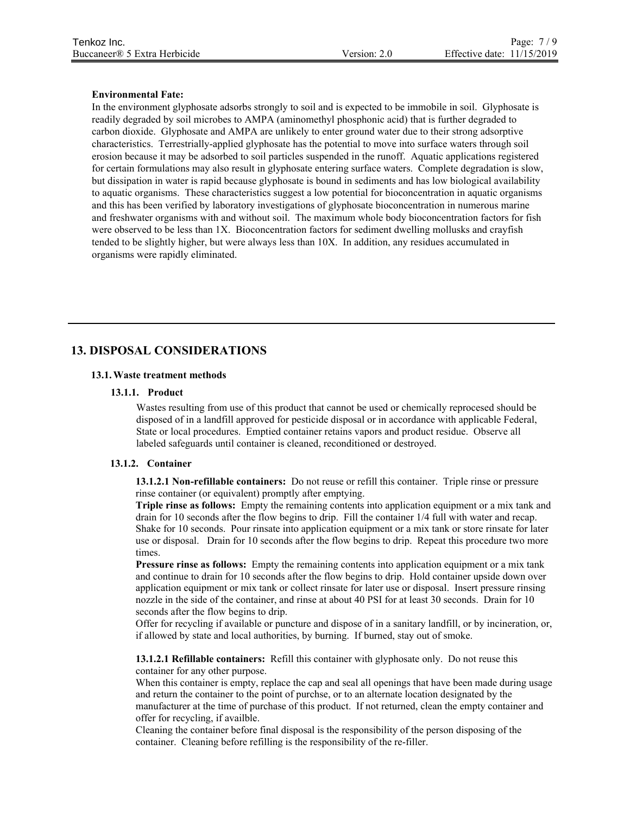#### **Environmental Fate:**

In the environment glyphosate adsorbs strongly to soil and is expected to be immobile in soil. Glyphosate is readily degraded by soil microbes to AMPA (aminomethyl phosphonic acid) that is further degraded to carbon dioxide. Glyphosate and AMPA are unlikely to enter ground water due to their strong adsorptive characteristics. Terrestrially-applied glyphosate has the potential to move into surface waters through soil erosion because it may be adsorbed to soil particles suspended in the runoff. Aquatic applications registered for certain formulations may also result in glyphosate entering surface waters. Complete degradation is slow, but dissipation in water is rapid because glyphosate is bound in sediments and has low biological availability to aquatic organisms. These characteristics suggest a low potential for bioconcentration in aquatic organisms and this has been verified by laboratory investigations of glyphosate bioconcentration in numerous marine and freshwater organisms with and without soil. The maximum whole body bioconcentration factors for fish were observed to be less than 1X. Bioconcentration factors for sediment dwelling mollusks and crayfish tended to be slightly higher, but were always less than 10X. In addition, any residues accumulated in organisms were rapidly eliminated.

# **13. DISPOSAL CONSIDERATIONS**

#### **13.1.Waste treatment methods**

#### **13.1.1. Product**

Wastes resulting from use of this product that cannot be used or chemically reprocesed should be disposed of in a landfill approved for pesticide disposal or in accordance with applicable Federal, State or local procedures. Emptied container retains vapors and product residue. Observe all labeled safeguards until container is cleaned, reconditioned or destroyed.

#### **13.1.2. Container**

**13.1.2.1 Non-refillable containers:** Do not reuse or refill this container. Triple rinse or pressure rinse container (or equivalent) promptly after emptying.

**Triple rinse as follows:** Empty the remaining contents into application equipment or a mix tank and drain for 10 seconds after the flow begins to drip. Fill the container 1/4 full with water and recap. Shake for 10 seconds. Pour rinsate into application equipment or a mix tank or store rinsate for later use or disposal. Drain for 10 seconds after the flow begins to drip. Repeat this procedure two more times.

**Pressure rinse as follows:** Empty the remaining contents into application equipment or a mix tank and continue to drain for 10 seconds after the flow begins to drip. Hold container upside down over application equipment or mix tank or collect rinsate for later use or disposal. Insert pressure rinsing nozzle in the side of the container, and rinse at about 40 PSI for at least 30 seconds. Drain for 10 seconds after the flow begins to drip.

Offer for recycling if available or puncture and dispose of in a sanitary landfill, or by incineration, or, if allowed by state and local authorities, by burning. If burned, stay out of smoke.

**13.1.2.1 Refillable containers:** Refill this container with glyphosate only. Do not reuse this container for any other purpose.

When this container is empty, replace the cap and seal all openings that have been made during usage and return the container to the point of purchse, or to an alternate location designated by the manufacturer at the time of purchase of this product. If not returned, clean the empty container and offer for recycling, if availble.

Cleaning the container before final disposal is the responsibility of the person disposing of the container. Cleaning before refilling is the responsibility of the re-filler.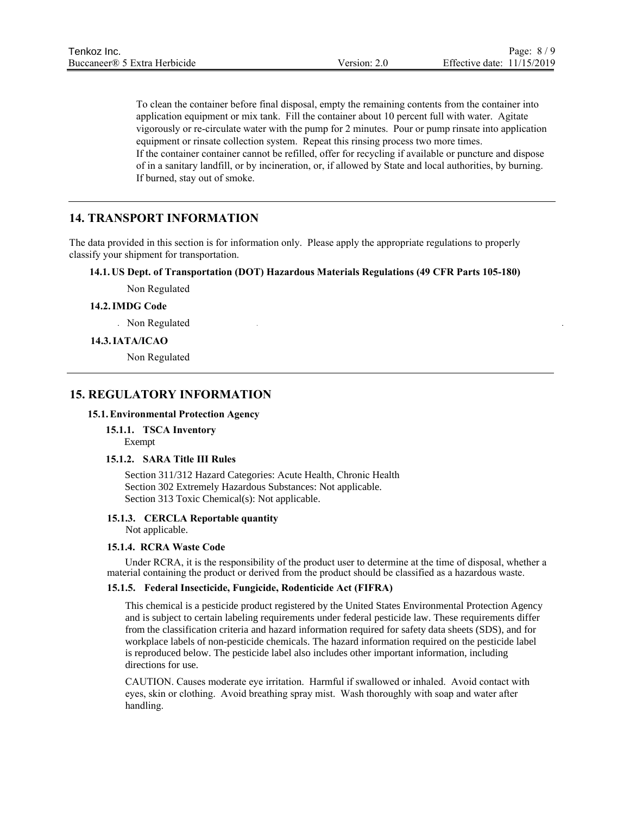To clean the container before final disposal, empty the remaining contents from the container into application equipment or mix tank. Fill the container about 10 percent full with water. Agitate vigorously or re-circulate water with the pump for 2 minutes. Pour or pump rinsate into application equipment or rinsate collection system. Repeat this rinsing process two more times. If the container container cannot be refilled, offer for recycling if available or puncture and dispose of in a sanitary landfill, or by incineration, or, if allowed by State and local authorities, by burning. If burned, stay out of smoke.

# **14. TRANSPORT INFORMATION**

The data provided in this section is for information only. Please apply the appropriate regulations to properly classify your shipment for transportation.

# **14.1. US Dept. of Transportation (DOT) Hazardous Materials Regulations (49 CFR Parts 105-180)**

Non Regulated

#### **14.2.IMDG Code**

Non Regulated

#### **14.3.IATA/ICAO**

Non Regulated

# **15. REGULATORY INFORMATION**

#### **15.1.Environmental Protection Agency**

**15.1.1. TSCA Inventory** Exempt

### **15.1.2. SARA Title III Rules**

Section 311/312 Hazard Categories: Acute Health, Chronic Health Section 302 Extremely Hazardous Substances: Not applicable. Section 313 Toxic Chemical(s): Not applicable.

#### **15.1.3. CERCLA Reportable quantity**

Not applicable.

#### **15.1.4. RCRA Waste Code**

Under RCRA, it is the responsibility of the product user to determine at the time of disposal, whether a material containing the product or derived from the product should be classified as a hazardous waste.

#### **15.1.5. Federal Insecticide, Fungicide, Rodenticide Act (FIFRA)**

This chemical is a pesticide product registered by the United States Environmental Protection Agency and is subject to certain labeling requirements under federal pesticide law. These requirements differ from the classification criteria and hazard information required for safety data sheets (SDS), and for workplace labels of non-pesticide chemicals. The hazard information required on the pesticide label is reproduced below. The pesticide label also includes other important information, including directions for use.

CAUTION. Causes moderate eye irritation. Harmful if swallowed or inhaled. Avoid contact with eyes, skin or clothing. Avoid breathing spray mist. Wash thoroughly with soap and water after handling.